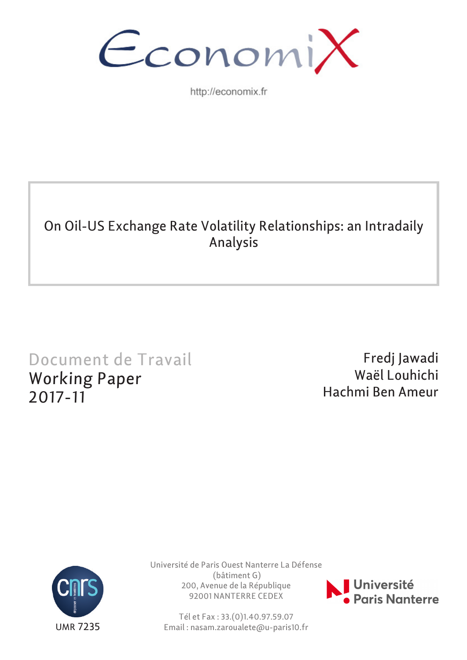

http://economix.fr

# On Oil-US Exchange Rate Volatility Relationships: an Intradaily Analysis

# Document de Travail Working Paper 2017-11

Fredj Jawadi Waël Louhichi Hachmi Ben Ameur



Université de Paris Ouest Nanterre La Défense (bâtiment G) 200, Avenue de la République 92001 NANTERRE CEDEX

Tél et Fax : 33.(0)1.40.97.59.07 Email : nasam.zaroualete@u-paris10.fr

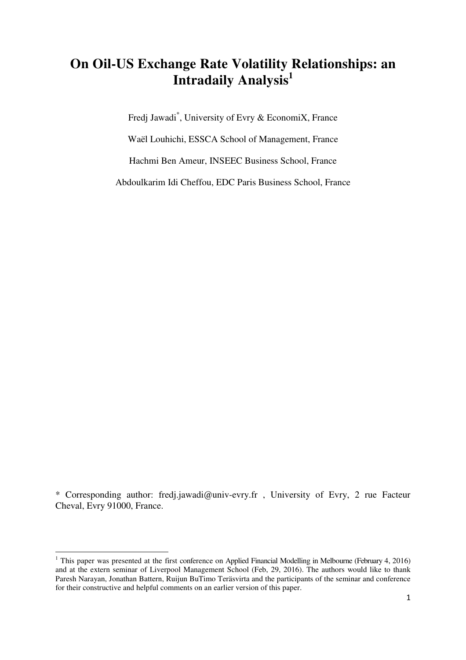## **On Oil-US Exchange Rate Volatility Relationships: an Intradaily Analysis<sup>1</sup>**

Fredj Jawadi\* , University of Evry & EconomiX, France Waël Louhichi, ESSCA School of Management, France

Hachmi Ben Ameur, INSEEC Business School, France

Abdoulkarim Idi Cheffou, EDC Paris Business School, France

\* Corresponding author: fredj.jawadi@univ-evry.fr , University of Evry, 2 rue Facteur Cheval, Evry 91000, France.

 $\overline{\phantom{a}}$ 

<sup>&</sup>lt;sup>1</sup> This paper was presented at the first conference on Applied Financial Modelling in Melbourne (February 4, 2016) and at the extern seminar of Liverpool Management School (Feb, 29, 2016). The authors would like to thank Paresh Narayan, Jonathan Battern, Ruijun BuTimo Teräsvirta and the participants of the seminar and conference for their constructive and helpful comments on an earlier version of this paper.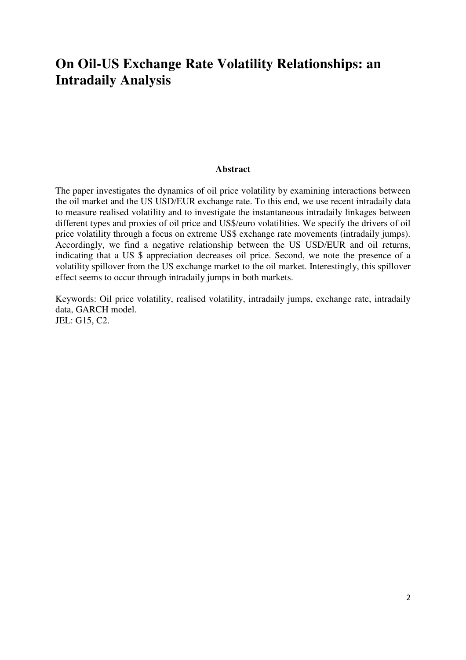### **On Oil-US Exchange Rate Volatility Relationships: an Intradaily Analysis**

#### **Abstract**

The paper investigates the dynamics of oil price volatility by examining interactions between the oil market and the US USD/EUR exchange rate. To this end, we use recent intradaily data to measure realised volatility and to investigate the instantaneous intradaily linkages between different types and proxies of oil price and US\$/euro volatilities. We specify the drivers of oil price volatility through a focus on extreme US\$ exchange rate movements (intradaily jumps). Accordingly, we find a negative relationship between the US USD/EUR and oil returns, indicating that a US \$ appreciation decreases oil price. Second, we note the presence of a volatility spillover from the US exchange market to the oil market. Interestingly, this spillover effect seems to occur through intradaily jumps in both markets.

Keywords: Oil price volatility, realised volatility, intradaily jumps, exchange rate, intradaily data, GARCH model. JEL: G15, C2.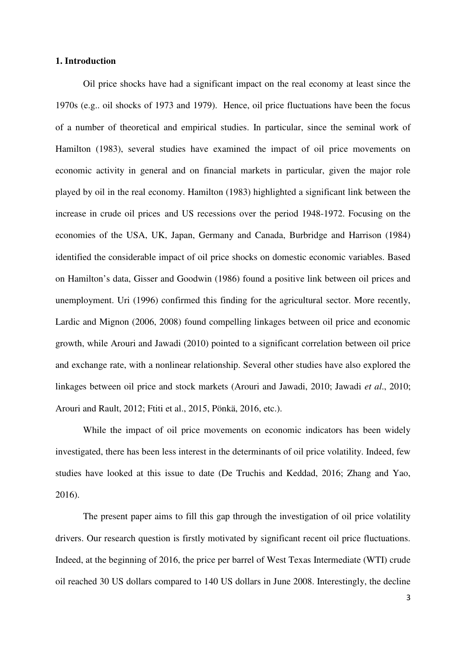#### **1. Introduction**

Oil price shocks have had a significant impact on the real economy at least since the 1970s (e.g.. oil shocks of 1973 and 1979). Hence, oil price fluctuations have been the focus of a number of theoretical and empirical studies. In particular, since the seminal work of Hamilton (1983), several studies have examined the impact of oil price movements on economic activity in general and on financial markets in particular, given the major role played by oil in the real economy. Hamilton (1983) highlighted a significant link between the increase in crude oil prices and US recessions over the period 1948-1972. Focusing on the economies of the USA, UK, Japan, Germany and Canada, Burbridge and Harrison (1984) identified the considerable impact of oil price shocks on domestic economic variables. Based on Hamilton's data, Gisser and Goodwin (1986) found a positive link between oil prices and unemployment. Uri (1996) confirmed this finding for the agricultural sector. More recently, Lardic and Mignon (2006, 2008) found compelling linkages between oil price and economic growth, while Arouri and Jawadi (2010) pointed to a significant correlation between oil price and exchange rate, with a nonlinear relationship. Several other studies have also explored the linkages between oil price and stock markets (Arouri and Jawadi, 2010; Jawadi *et al*., 2010; Arouri and Rault, 2012; Ftiti et al., 2015, Pönkä, 2016, etc.).

While the impact of oil price movements on economic indicators has been widely investigated, there has been less interest in the determinants of oil price volatility. Indeed, few studies have looked at this issue to date (De Truchis and Keddad, 2016; Zhang and Yao, 2016).

The present paper aims to fill this gap through the investigation of oil price volatility drivers. Our research question is firstly motivated by significant recent oil price fluctuations. Indeed, at the beginning of 2016, the price per barrel of West Texas Intermediate (WTI) crude oil reached 30 US dollars compared to 140 US dollars in June 2008. Interestingly, the decline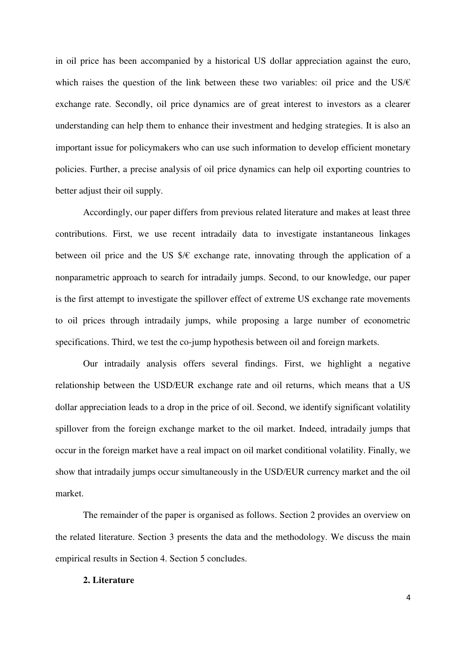in oil price has been accompanied by a historical US dollar appreciation against the euro, which raises the question of the link between these two variables: oil price and the US/ $\epsilon$ exchange rate. Secondly, oil price dynamics are of great interest to investors as a clearer understanding can help them to enhance their investment and hedging strategies. It is also an important issue for policymakers who can use such information to develop efficient monetary policies. Further, a precise analysis of oil price dynamics can help oil exporting countries to better adjust their oil supply.

Accordingly, our paper differs from previous related literature and makes at least three contributions. First, we use recent intradaily data to investigate instantaneous linkages between oil price and the US  $\frac{1}{2}$  exchange rate, innovating through the application of a nonparametric approach to search for intradaily jumps. Second, to our knowledge, our paper is the first attempt to investigate the spillover effect of extreme US exchange rate movements to oil prices through intradaily jumps, while proposing a large number of econometric specifications. Third, we test the co-jump hypothesis between oil and foreign markets.

Our intradaily analysis offers several findings. First, we highlight a negative relationship between the USD/EUR exchange rate and oil returns, which means that a US dollar appreciation leads to a drop in the price of oil. Second, we identify significant volatility spillover from the foreign exchange market to the oil market. Indeed, intradaily jumps that occur in the foreign market have a real impact on oil market conditional volatility. Finally, we show that intradaily jumps occur simultaneously in the USD/EUR currency market and the oil market.

The remainder of the paper is organised as follows. Section 2 provides an overview on the related literature. Section 3 presents the data and the methodology. We discuss the main empirical results in Section 4. Section 5 concludes.

#### **2. Literature**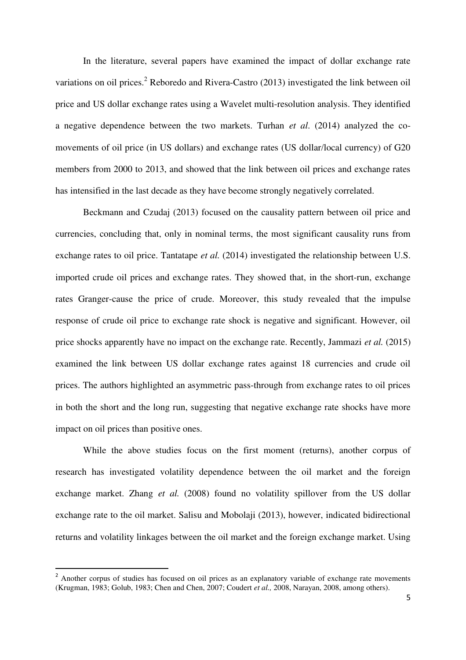In the literature, several papers have examined the impact of dollar exchange rate variations on oil prices.<sup>2</sup> Reboredo and Rivera-Castro (2013) investigated the link between oil price and US dollar exchange rates using a Wavelet multi-resolution analysis. They identified a negative dependence between the two markets. Turhan *et al*. (2014) analyzed the comovements of oil price (in US dollars) and exchange rates (US dollar/local currency) of G20 members from 2000 to 2013, and showed that the link between oil prices and exchange rates has intensified in the last decade as they have become strongly negatively correlated.

Beckmann and Czudaj (2013) focused on the causality pattern between oil price and currencies, concluding that, only in nominal terms, the most significant causality runs from exchange rates to oil price. Tantatape *et al.* (2014) investigated the relationship between U.S. imported crude oil prices and exchange rates. They showed that, in the short-run, exchange rates Granger-cause the price of crude. Moreover, this study revealed that the impulse response of crude oil price to exchange rate shock is negative and significant. However, oil price shocks apparently have no impact on the exchange rate. Recently, Jammazi *et al.* (2015) examined the link between US dollar exchange rates against 18 currencies and crude oil prices. The authors highlighted an asymmetric pass-through from exchange rates to oil prices in both the short and the long run, suggesting that negative exchange rate shocks have more impact on oil prices than positive ones.

While the above studies focus on the first moment (returns), another corpus of research has investigated volatility dependence between the oil market and the foreign exchange market. Zhang *et al.* (2008) found no volatility spillover from the US dollar exchange rate to the oil market. Salisu and Mobolaji (2013), however, indicated bidirectional returns and volatility linkages between the oil market and the foreign exchange market. Using

 $\overline{\phantom{a}}$ 

<sup>&</sup>lt;sup>2</sup> Another corpus of studies has focused on oil prices as an explanatory variable of exchange rate movements (Krugman, 1983; Golub, 1983; Chen and Chen, 2007; Coudert *et al.,* 2008, Narayan, 2008, among others).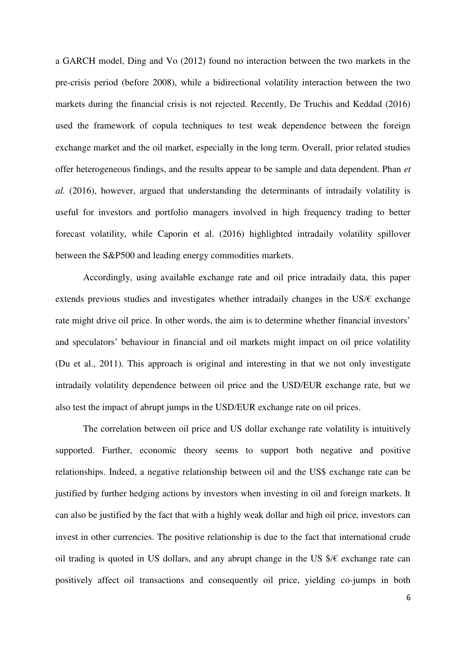a GARCH model, Ding and Vo (2012) found no interaction between the two markets in the pre-crisis period (before 2008), while a bidirectional volatility interaction between the two markets during the financial crisis is not rejected. Recently, De Truchis and Keddad (2016) used the framework of copula techniques to test weak dependence between the foreign exchange market and the oil market, especially in the long term. Overall, prior related studies offer heterogeneous findings, and the results appear to be sample and data dependent. Phan *et al.* (2016), however, argued that understanding the determinants of intradaily volatility is useful for investors and portfolio managers involved in high frequency trading to better forecast volatility, while Caporin et al. (2016) highlighted intradaily volatility spillover between the S&P500 and leading energy commodities markets.

Accordingly, using available exchange rate and oil price intradaily data, this paper extends previous studies and investigates whether intradaily changes in the US/ $\epsilon$  exchange rate might drive oil price. In other words, the aim is to determine whether financial investors' and speculators' behaviour in financial and oil markets might impact on oil price volatility (Du et al., 2011). This approach is original and interesting in that we not only investigate intradaily volatility dependence between oil price and the USD/EUR exchange rate, but we also test the impact of abrupt jumps in the USD/EUR exchange rate on oil prices.

The correlation between oil price and US dollar exchange rate volatility is intuitively supported. Further, economic theory seems to support both negative and positive relationships. Indeed, a negative relationship between oil and the US\$ exchange rate can be justified by further hedging actions by investors when investing in oil and foreign markets. It can also be justified by the fact that with a highly weak dollar and high oil price, investors can invest in other currencies. The positive relationship is due to the fact that international crude oil trading is quoted in US dollars, and any abrupt change in the US  $\frac{1}{5}$  exchange rate can positively affect oil transactions and consequently oil price, yielding co-jumps in both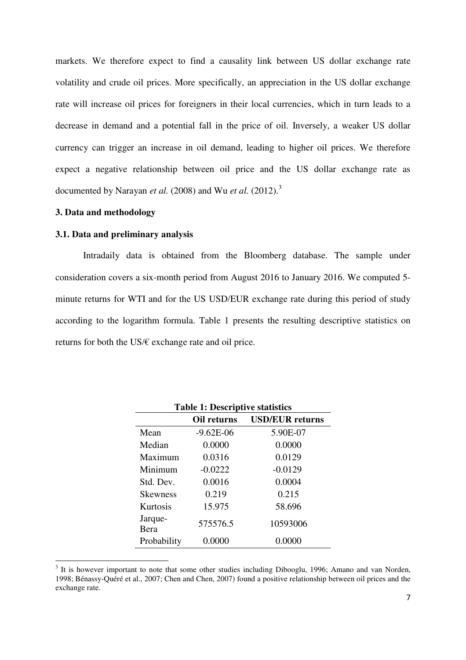markets. We therefore expect to find a causality link between US dollar exchange rate volatility and crude oil prices. More specifically, an appreciation in the US dollar exchange rate will increase oil prices for foreigners in their local currencies, which in turn leads to a decrease in demand and a potential fall in the price of oil. Inversely, a weaker US dollar currency can trigger an increase in oil demand, leading to higher oil prices. We therefore expect a negative relationship between oil price and the US dollar exchange rate as documented by Narayan *et al.* (2008) and Wu *et al.* (2012).<sup>3</sup>

### **3. Data and methodology**

#### **3.1. Data and preliminary analysis**

Intradaily data is obtained from the Bloomberg database. The sample under consideration covers a six-month period from August 2016 to January 2016. We computed 5 minute returns for WTI and for the US USD/EUR exchange rate during this period of study according to the logarithm formula. Table 1 presents the resulting descriptive statistics on returns for both the US/€ exchange rate and oil price.

|                 | Oil returns   | <b>USD/EUR</b> returns |
|-----------------|---------------|------------------------|
| Mean            | $-9.62E - 06$ | 5.90E-07               |
| Median          | 0.0000        | 0.0000                 |
| Maximum         | 0.0316        | 0.0129                 |
| Minimum         | $-0.0222$     | $-0.0129$              |
| Std. Dev.       | 0.0016        | 0.0004                 |
| <b>Skewness</b> | 0.219         | 0.215                  |
| Kurtosis        | 15.975        | 58.696                 |
| Jarque-<br>Bera | 575576.5      | 10593006               |
| Probability     | 0.0000        | 0.0000                 |

**Table 1: Descriptive statistics** 

<sup>&</sup>lt;sup>3</sup> It is however important to note that some other studies including Dibooglu, 1996; Amano and van Norden, 1998; Bénassy-Quéré et al., 2007; Chen and Chen, 2007) found a positive relationship between oil prices and the exchange rate.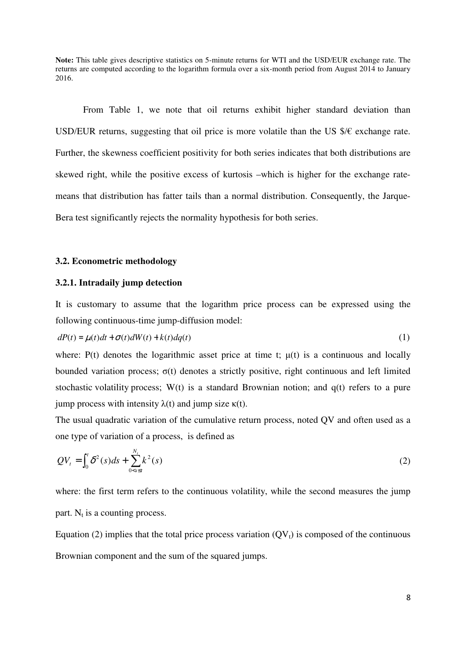**Note:** This table gives descriptive statistics on 5-minute returns for WTI and the USD/EUR exchange rate. The returns are computed according to the logarithm formula over a six-month period from August 2014 to January 2016.

From Table 1, we note that oil returns exhibit higher standard deviation than USD/EUR returns, suggesting that oil price is more volatile than the US  $\frac{1}{5}$  exchange rate. Further, the skewness coefficient positivity for both series indicates that both distributions are skewed right, while the positive excess of kurtosis –which is higher for the exchange ratemeans that distribution has fatter tails than a normal distribution. Consequently, the Jarque-Bera test significantly rejects the normality hypothesis for both series.

#### **3.2. Econometric methodology**

#### **3.2.1. Intradaily jump detection**

It is customary to assume that the logarithm price process can be expressed using the following continuous-time jump-diffusion model:

$$
dP(t) = \mu(t)dt + \sigma(t)dW(t) + k(t)dq(t)
$$
\n(1)

where:  $P(t)$  denotes the logarithmic asset price at time t;  $\mu(t)$  is a continuous and locally bounded variation process;  $\sigma(t)$  denotes a strictly positive, right continuous and left limited stochastic volatility process; W(t) is a standard Brownian notion; and q(t) refers to a pure jump process with intensity  $λ(t)$  and jump size  $κ(t)$ .

The usual quadratic variation of the cumulative return process, noted QV and often used as a one type of variation of a process, is defined as

$$
QV_{t} = \int_{0}^{t} \delta^{2}(s)ds + \sum_{0 < s \leq t}^{N_{t}} k^{2}(s)
$$
 (2)

where: the first term refers to the continuous volatility, while the second measures the jump part.  $N_t$  is a counting process.

Equation (2) implies that the total price process variation  $(QV_t)$  is composed of the continuous Brownian component and the sum of the squared jumps.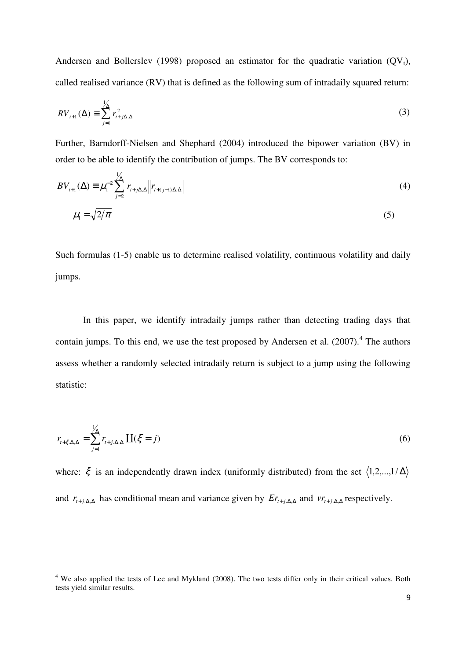Andersen and Bollerslev (1998) proposed an estimator for the quadratic variation  $(QV_t)$ , called realised variance (RV) that is defined as the following sum of intradaily squared return:

$$
RV_{t+1}(\Delta) \equiv \sum_{j=1}^{1/\Delta} r_{t+j\Delta,\Delta}^2
$$
 (3)

Further, Barndorff-Nielsen and Shephard (2004) introduced the bipower variation (BV) in order to be able to identify the contribution of jumps. The BV corresponds to:

$$
BV_{t+1}(\Delta) \equiv \mu_1^{-2} \sum_{j=2}^{1} \left| r_{t+j\Delta,\Delta} \right| \left| r_{t+(j-1)\Delta,\Delta} \right| \tag{4}
$$

$$
\mu_1 = \sqrt{2/\pi} \tag{5}
$$

Such formulas (1-5) enable us to determine realised volatility, continuous volatility and daily jumps.

In this paper, we identify intradaily jumps rather than detecting trading days that contain jumps. To this end, we use the test proposed by Andersen et al.  $(2007)^{4}$ . The authors assess whether a randomly selected intradaily return is subject to a jump using the following statistic:

$$
r_{t+\xi,\Delta,\Delta} = \sum_{j=1}^{1/\Delta} r_{t+j,\Delta,\Delta} \coprod (\xi = j)
$$
 (6)

where:  $\xi$  is an independently drawn index (uniformly distributed) from the set  $\langle 1,2,...,1/\Delta \rangle$ and  $r_{t+j,\Delta,\Delta}$  has conditional mean and variance given by  $Er_{t+j,\Delta,\Delta}$  and  $vr_{t+j,\Delta,\Delta}$  respectively.

 $\overline{\phantom{a}}$ 

<sup>&</sup>lt;sup>4</sup> We also applied the tests of Lee and Mykland (2008). The two tests differ only in their critical values. Both tests yield similar results.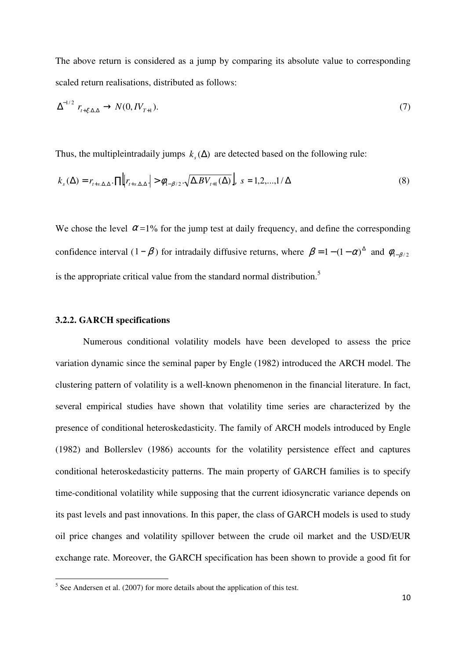The above return is considered as a jump by comparing its absolute value to corresponding scaled return realisations, distributed as follows:

$$
\Delta^{-1/2} \, r_{t+\xi,\Delta,\Delta} \to N(0,IV_{T+1}). \tag{7}
$$

Thus, the multipleintradaily jumps  $k_s(\Delta)$  are detected based on the following rule:

$$
k_{s}(\Delta) = r_{t+s,\Delta,\Delta} \cdot \Pi \Big| r_{t+s,\Delta,\Delta} \Big| > \phi_{1-\beta/2} \cdot \sqrt{\Delta .BV_{t+1}(\Delta)} \Big|, \ s = 1,2,...,1/\Delta \tag{8}
$$

We chose the level  $\alpha$  =1% for the jump test at daily frequency, and define the corresponding confidence interval  $(1 - \beta)$  for intradaily diffusive returns, where  $\beta = 1 - (1 - \alpha)^{\Delta}$  and  $\phi_{1-\beta/2}$ is the appropriate critical value from the standard normal distribution.<sup>5</sup>

#### **3.2.2. GARCH specifications**

Numerous conditional volatility models have been developed to assess the price variation dynamic since the seminal paper by Engle (1982) introduced the ARCH model. The clustering pattern of volatility is a well-known phenomenon in the financial literature. In fact, several empirical studies have shown that volatility time series are characterized by the presence of conditional heteroskedasticity. The family of ARCH models introduced by Engle (1982) and Bollerslev (1986) accounts for the volatility persistence effect and captures conditional heteroskedasticity patterns. The main property of GARCH families is to specify time-conditional volatility while supposing that the current idiosyncratic variance depends on its past levels and past innovations. In this paper, the class of GARCH models is used to study oil price changes and volatility spillover between the crude oil market and the USD/EUR exchange rate. Moreover, the GARCH specification has been shown to provide a good fit for

 $<sup>5</sup>$  See Andersen et al. (2007) for more details about the application of this test.</sup>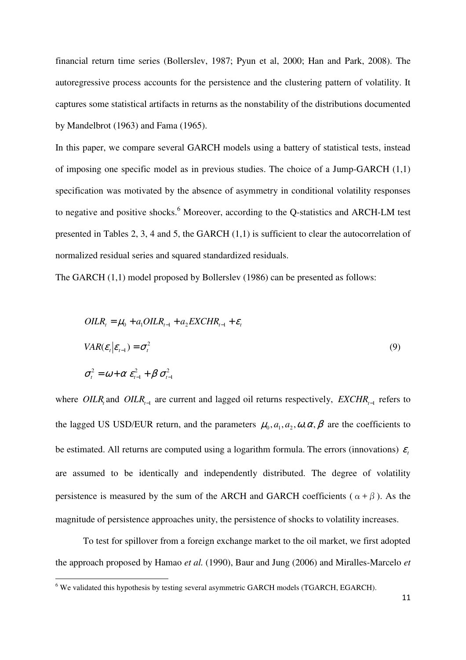financial return time series (Bollerslev, 1987; Pyun et al, 2000; Han and Park, 2008). The autoregressive process accounts for the persistence and the clustering pattern of volatility. It captures some statistical artifacts in returns as the nonstability of the distributions documented by Mandelbrot (1963) and Fama (1965).

In this paper, we compare several GARCH models using a battery of statistical tests, instead of imposing one specific model as in previous studies. The choice of a Jump-GARCH (1,1) specification was motivated by the absence of asymmetry in conditional volatility responses to negative and positive shocks.<sup>6</sup> Moreover, according to the Q-statistics and ARCH-LM test presented in Tables 2, 3, 4 and 5, the GARCH (1,1) is sufficient to clear the autocorrelation of normalized residual series and squared standardized residuals.

The GARCH (1,1) model proposed by Bollerslev (1986) can be presented as follows:

$$
OLR_t = \mu_0 + a_1 OILR_{t-1} + a_2 EXCHR_{t-1} + \varepsilon_t
$$
  
\n
$$
VAR(\varepsilon_t | \varepsilon_{t-1}) = \sigma_t^2
$$
  
\n
$$
\sigma_t^2 = \omega + \alpha \varepsilon_{t-1}^2 + \beta \sigma_{t-1}^2
$$
\n(9)

where OILR<sub>*t*</sub> and OILR<sub>*t*-1</sub> are current and lagged oil returns respectively,  $EXCHR_{t-1}$  refers to the lagged US USD/EUR return, and the parameters  $\mu_0$ ,  $a_1$ ,  $a_2$ ,  $\omega$ ,  $\alpha$ ,  $\beta$  are the coefficients to be estimated. All returns are computed using a logarithm formula. The errors (innovations)  $\varepsilon$ are assumed to be identically and independently distributed. The degree of volatility persistence is measured by the sum of the ARCH and GARCH coefficients ( $\alpha + \beta$ ). As the magnitude of persistence approaches unity, the persistence of shocks to volatility increases.

To test for spillover from a foreign exchange market to the oil market, we first adopted the approach proposed by Hamao *et al.* (1990), Baur and Jung (2006) and Miralles-Marcelo *et* 

 $6$  We validated this hypothesis by testing several asymmetric GARCH models (TGARCH, EGARCH).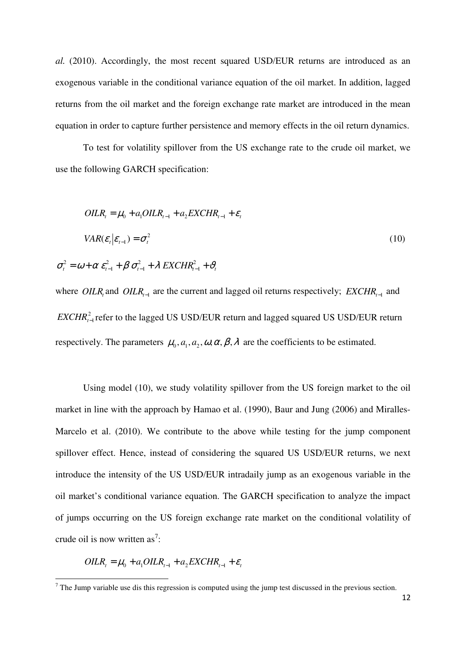*al.* (2010). Accordingly, the most recent squared USD/EUR returns are introduced as an exogenous variable in the conditional variance equation of the oil market. In addition, lagged returns from the oil market and the foreign exchange rate market are introduced in the mean equation in order to capture further persistence and memory effects in the oil return dynamics.

To test for volatility spillover from the US exchange rate to the crude oil market, we use the following GARCH specification:

$$
OLR_{t} = \mu_{0} + a_{1}OLR_{t-1} + a_{2}EXCHR_{t-1} + \varepsilon_{t}
$$
  

$$
VAR(\varepsilon_{t} | \varepsilon_{t-1}) = \sigma_{t}^{2}
$$
  

$$
\sigma_{t}^{2} = \omega + \alpha \varepsilon_{t-1}^{2} + \beta \sigma_{t-1}^{2} + \lambda EXCHR_{t-1}^{2} + \vartheta_{t}
$$
 (10)

*Where OILR<sub><i>t*</sub> and *OILR*<sub>*t*−1</sub> are the current and lagged oil returns respectively; *EXCHR*<sub>*t*−1</sub> and *EXCHR*<sup>2</sup><sub>*r*−1</sub> refer to the lagged US USD/EUR return and lagged squared US USD/EUR return respectively. The parameters  $\mu_0$ ,  $a_1$ ,  $a_2$ ,  $\omega$ ,  $\alpha$ ,  $\beta$ ,  $\lambda$  are the coefficients to be estimated.

1

1

1

Using model (10), we study volatility spillover from the US foreign market to the oil market in line with the approach by Hamao et al. (1990), Baur and Jung (2006) and Miralles-Marcelo et al. (2010). We contribute to the above while testing for the jump component spillover effect. Hence, instead of considering the squared US USD/EUR returns, we next introduce the intensity of the US USD/EUR intradaily jump as an exogenous variable in the oil market's conditional variance equation. The GARCH specification to analyze the impact of jumps occurring on the US foreign exchange rate market on the conditional volatility of crude oil is now written as<sup>7</sup>:

$$
OLR_t = \mu_0 + a_1OLR_{t-1} + a_2EXCHR_{t-1} + \varepsilon_t
$$

<sup>&</sup>lt;sup>7</sup> The Jump variable use dis this regression is computed using the jump test discussed in the previous section.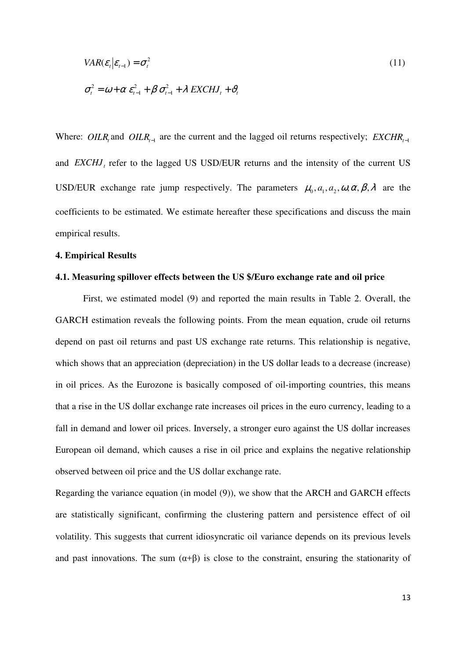$$
VAR(\varepsilon_t | \varepsilon_{t-1}) = \sigma_t^2
$$
\n
$$
\sigma_t^2 = \omega + \alpha \varepsilon_{t-1}^2 + \beta \sigma_{t-1}^2 + \lambda EXCHJ_t + \vartheta_t
$$
\n(11)

Where: OILR<sub>*t*</sub> and OILR<sub>*t*−1</sub> are the current and the lagged oil returns respectively; *EXCHR*<sub> $t$ −1</sub> and  $EXCHJ<sub>t</sub>$  refer to the lagged US USD/EUR returns and the intensity of the current US USD/EUR exchange rate jump respectively. The parameters  $\mu_0$ ,  $a_1$ ,  $a_2$ ,  $\omega$ ,  $\alpha$ ,  $\beta$ ,  $\lambda$  are the coefficients to be estimated. We estimate hereafter these specifications and discuss the main empirical results.

#### **4. Empirical Results**

#### **4.1. Measuring spillover effects between the US \$/Euro exchange rate and oil price**

First, we estimated model (9) and reported the main results in Table 2. Overall, the GARCH estimation reveals the following points. From the mean equation, crude oil returns depend on past oil returns and past US exchange rate returns. This relationship is negative, which shows that an appreciation (depreciation) in the US dollar leads to a decrease (increase) in oil prices. As the Eurozone is basically composed of oil-importing countries, this means that a rise in the US dollar exchange rate increases oil prices in the euro currency, leading to a fall in demand and lower oil prices. Inversely, a stronger euro against the US dollar increases European oil demand, which causes a rise in oil price and explains the negative relationship observed between oil price and the US dollar exchange rate.

Regarding the variance equation (in model (9)), we show that the ARCH and GARCH effects are statistically significant, confirming the clustering pattern and persistence effect of oil volatility. This suggests that current idiosyncratic oil variance depends on its previous levels and past innovations. The sum  $(\alpha + \beta)$  is close to the constraint, ensuring the stationarity of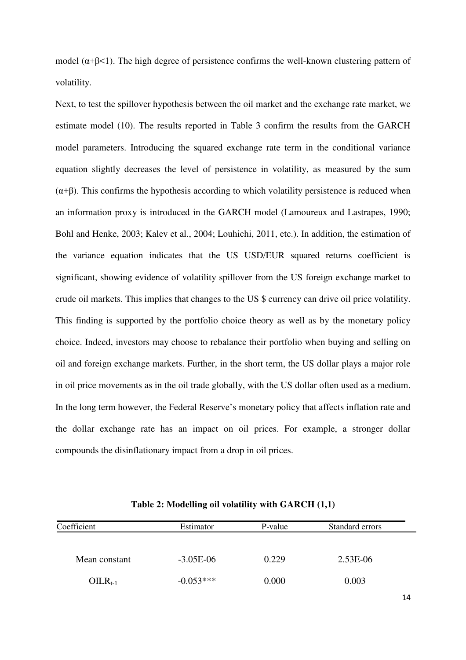model ( $\alpha + \beta < 1$ ). The high degree of persistence confirms the well-known clustering pattern of volatility.

Next, to test the spillover hypothesis between the oil market and the exchange rate market, we estimate model (10). The results reported in Table 3 confirm the results from the GARCH model parameters. Introducing the squared exchange rate term in the conditional variance equation slightly decreases the level of persistence in volatility, as measured by the sum  $(\alpha+\beta)$ . This confirms the hypothesis according to which volatility persistence is reduced when an information proxy is introduced in the GARCH model (Lamoureux and Lastrapes, 1990; Bohl and Henke, 2003; Kalev et al., 2004; Louhichi, 2011, etc.). In addition, the estimation of the variance equation indicates that the US USD/EUR squared returns coefficient is significant, showing evidence of volatility spillover from the US foreign exchange market to crude oil markets. This implies that changes to the US \$ currency can drive oil price volatility. This finding is supported by the portfolio choice theory as well as by the monetary policy choice. Indeed, investors may choose to rebalance their portfolio when buying and selling on oil and foreign exchange markets. Further, in the short term, the US dollar plays a major role in oil price movements as in the oil trade globally, with the US dollar often used as a medium. In the long term however, the Federal Reserve's monetary policy that affects inflation rate and the dollar exchange rate has an impact on oil prices. For example, a stronger dollar compounds the disinflationary impact from a drop in oil prices.

| Coefficient   | Estimator   | P-value | Standard errors |  |
|---------------|-------------|---------|-----------------|--|
|               |             |         |                 |  |
| Mean constant | $-3.05E-06$ | 0.229   | $2.53E-06$      |  |
| $OILR_{t-1}$  | $-0.053***$ | 0.000   | 0.003           |  |

**Table 2: Modelling oil volatility with GARCH (1,1)**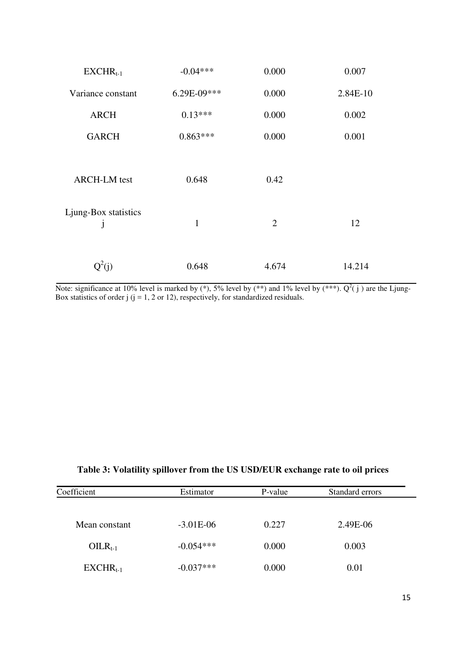| $EXCHR_{t-1}$        | $-0.04***$   | 0.000          | 0.007    |
|----------------------|--------------|----------------|----------|
| Variance constant    | 6.29E-09***  | 0.000          | 2.84E-10 |
| <b>ARCH</b>          | $0.13***$    | 0.000          | 0.002    |
| <b>GARCH</b>         | $0.863***$   | 0.000          | 0.001    |
|                      |              |                |          |
| <b>ARCH-LM</b> test  | 0.648        | 0.42           |          |
| Ljung-Box statistics |              |                |          |
| J                    | $\mathbf{1}$ | $\overline{2}$ | 12       |
|                      |              |                |          |
| $Q^2(j)$             | 0.648        | 4.674          | 14.214   |

Note: significance at 10% level is marked by  $(*), 5\%$  level by  $(**)$  and 1% level by  $(***)$ .  $Q^2(j)$  are the Ljung-Box statistics of order  $j$  ( $j = 1, 2$  or 12), respectively, for standardized residuals.

|  |  |  | Table 3: Volatility spillover from the US USD/EUR exchange rate to oil prices |  |
|--|--|--|-------------------------------------------------------------------------------|--|
|  |  |  |                                                                               |  |

| Coefficient   | Estimator   | P-value | Standard errors |  |
|---------------|-------------|---------|-----------------|--|
|               |             |         |                 |  |
| Mean constant | $-3.01E-06$ | 0.227   | 2.49E-06        |  |
| $OILR_{t-1}$  | $-0.054***$ | 0.000   | 0.003           |  |
| $EXCHR_{t-1}$ | $-0.037***$ | 0.000   | 0.01            |  |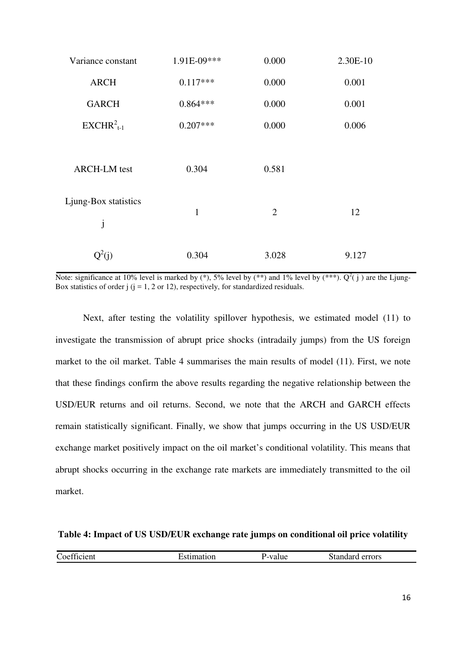| Variance constant         | 1.91E-09***  | 0.000          | 2.30E-10 |
|---------------------------|--------------|----------------|----------|
| <b>ARCH</b>               | $0.117***$   | 0.000          | 0.001    |
| <b>GARCH</b>              | $0.864***$   | 0.000          | 0.001    |
| $EXCHR2t-1$               | $0.207***$   | 0.000          | 0.006    |
| <b>ARCH-LM</b> test       | 0.304        | 0.581          |          |
| Ljung-Box statistics<br>j | $\mathbf{1}$ | $\overline{2}$ | 12       |
| $Q^2(i)$                  | 0.304        | 3.028          | 9.127    |

Note: significance at 10% level is marked by  $(*), 5\%$  level by  $(**)$  and 1% level by  $(***)$ .  $Q^2(j)$  are the Ljung-Box statistics of order  $j$  ( $j = 1, 2$  or 12), respectively, for standardized residuals.

Next, after testing the volatility spillover hypothesis, we estimated model (11) to investigate the transmission of abrupt price shocks (intradaily jumps) from the US foreign market to the oil market. Table 4 summarises the main results of model (11). First, we note that these findings confirm the above results regarding the negative relationship between the USD/EUR returns and oil returns. Second, we note that the ARCH and GARCH effects remain statistically significant. Finally, we show that jumps occurring in the US USD/EUR exchange market positively impact on the oil market's conditional volatility. This means that abrupt shocks occurring in the exchange rate markets are immediately transmitted to the oil market.

#### **Table 4: Impact of US USD/EUR exchange rate jumps on conditional oil price volatility**

| $\sim$<br>$\sim$<br>oettic<br>лепи<br>$\tilde{ }$ | дот. | alue | errors<br>. 120. |
|---------------------------------------------------|------|------|------------------|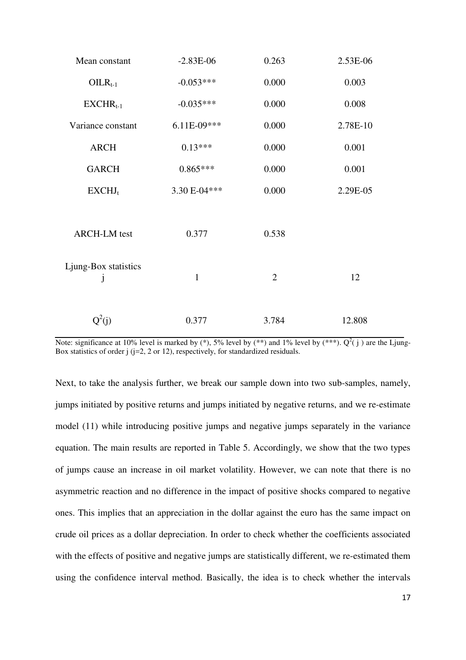| Mean constant                        | $-2.83E-06$   | 0.263          | 2.53E-06 |
|--------------------------------------|---------------|----------------|----------|
| $OILR_{t-1}$                         | $-0.053***$   | 0.000          | 0.003    |
| $EXCHR_{t-1}$                        | $-0.035***$   | 0.000          | 0.008    |
| Variance constant                    | $6.11E-09***$ | 0.000          | 2.78E-10 |
| <b>ARCH</b>                          | $0.13***$     | 0.000          | 0.001    |
| <b>GARCH</b>                         | $0.865***$    | 0.000          | 0.001    |
| EXCHJ <sub>t</sub>                   | 3.30 E-04***  | 0.000          | 2.29E-05 |
|                                      |               |                |          |
| <b>ARCH-LM</b> test                  | 0.377         | 0.538          |          |
|                                      |               |                |          |
| Ljung-Box statistics<br>$\mathbf{J}$ | $\mathbf{1}$  | $\overline{2}$ | 12       |
|                                      |               |                |          |
| $Q^2(j)$                             | 0.377         | 3.784          | 12.808   |

Note: significance at 10% level is marked by  $(*), 5\%$  level by  $(**)$  and 1% level by  $(***)$ .  $Q^2(j)$  are the Ljung-Box statistics of order  $j$  ( $j=2$ , 2 or 12), respectively, for standardized residuals.

Next, to take the analysis further, we break our sample down into two sub-samples, namely, jumps initiated by positive returns and jumps initiated by negative returns, and we re-estimate model (11) while introducing positive jumps and negative jumps separately in the variance equation. The main results are reported in Table 5. Accordingly, we show that the two types of jumps cause an increase in oil market volatility. However, we can note that there is no asymmetric reaction and no difference in the impact of positive shocks compared to negative ones. This implies that an appreciation in the dollar against the euro has the same impact on crude oil prices as a dollar depreciation. In order to check whether the coefficients associated with the effects of positive and negative jumps are statistically different, we re-estimated them using the confidence interval method. Basically, the idea is to check whether the intervals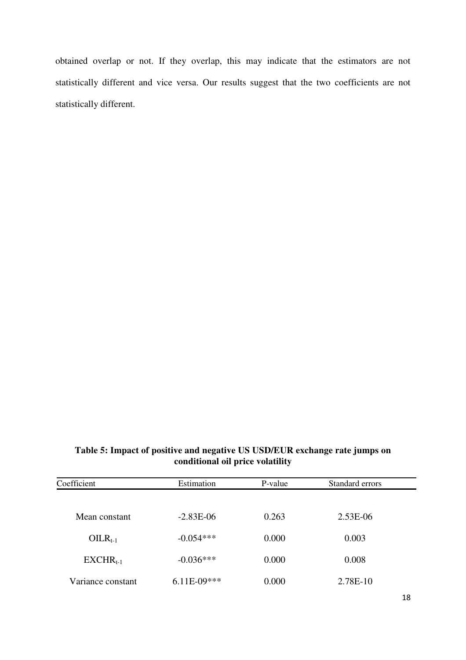obtained overlap or not. If they overlap, this may indicate that the estimators are not statistically different and vice versa. Our results suggest that the two coefficients are not statistically different.

### **Table 5: Impact of positive and negative US USD/EUR exchange rate jumps on conditional oil price volatility**

| Coefficient       | Estimation    | P-value | Standard errors |  |
|-------------------|---------------|---------|-----------------|--|
|                   |               |         |                 |  |
| Mean constant     | $-2.83E-06$   | 0.263   | 2.53E-06        |  |
| $OILR_{t-1}$      | $-0.054***$   | 0.000   | 0.003           |  |
| $EXCHR_{t-1}$     | $-0.036***$   | 0.000   | 0.008           |  |
| Variance constant | $6.11E-09***$ | 0.000   | 2.78E-10        |  |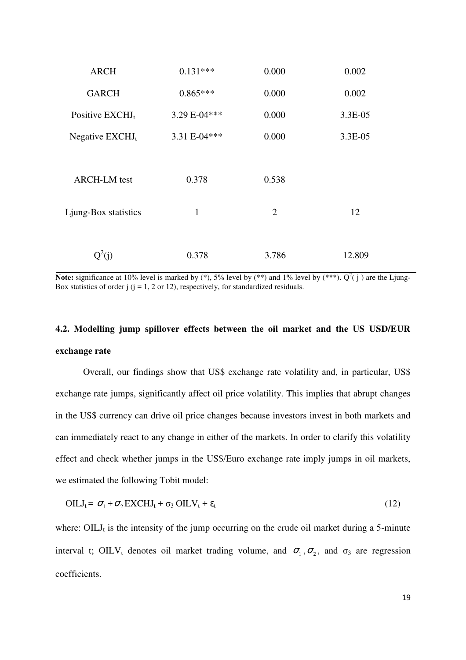| <b>ARCH</b>          | $0.131***$   | 0.000          | 0.002   |
|----------------------|--------------|----------------|---------|
| <b>GARCH</b>         | $0.865***$   | 0.000          | 0.002   |
| Positive $EXCHJt$    | 3.29 E-04*** | 0.000          | 3.3E-05 |
| Negative $EXCHJt$    | 3.31 E-04*** | 0.000          | 3.3E-05 |
|                      |              |                |         |
| <b>ARCH-LM</b> test  | 0.378        | 0.538          |         |
| Ljung-Box statistics | 1            | $\overline{2}$ | 12      |
|                      | 0.378        | 3.786          | 12.809  |

**Note:** significance at 10% level is marked by  $(*)$ , 5% level by  $(**)$  and 1% level by  $(***)$ .  $Q^2(j)$  are the Ljung-Box statistics of order  $j$  ( $j = 1, 2$  or 12), respectively, for standardized residuals.

## **4.2. Modelling jump spillover effects between the oil market and the US USD/EUR exchange rate**

Overall, our findings show that US\$ exchange rate volatility and, in particular, US\$ exchange rate jumps, significantly affect oil price volatility. This implies that abrupt changes in the US\$ currency can drive oil price changes because investors invest in both markets and can immediately react to any change in either of the markets. In order to clarify this volatility effect and check whether jumps in the US\$/Euro exchange rate imply jumps in oil markets, we estimated the following Tobit model:

$$
OILJt = \sigma1 + \sigma2 EXCHJt + \sigma3 OILVt + \varepsilont
$$
\n(12)

where:  $OILJ_t$  is the intensity of the jump occurring on the crude oil market during a 5-minute interval t; OILV<sub>t</sub> denotes oil market trading volume, and  $\sigma_1$ ,  $\sigma_2$ , and  $\sigma_3$  are regression coefficients.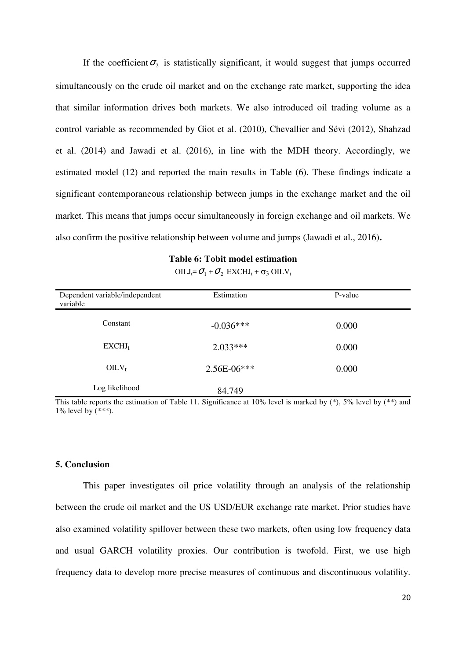If the coefficient  $\sigma_2$  is statistically significant, it would suggest that jumps occurred simultaneously on the crude oil market and on the exchange rate market, supporting the idea that similar information drives both markets. We also introduced oil trading volume as a control variable as recommended by Giot et al. (2010), Chevallier and Sévi (2012), Shahzad et al. (2014) and Jawadi et al. (2016), in line with the MDH theory. Accordingly, we estimated model (12) and reported the main results in Table (6). These findings indicate a significant contemporaneous relationship between jumps in the exchange market and the oil market. This means that jumps occur simultaneously in foreign exchange and oil markets. We also confirm the positive relationship between volume and jumps (Jawadi et al., 2016)**.** 

| Dependent variable/independent<br>variable | Estimation    | P-value |  |
|--------------------------------------------|---------------|---------|--|
| Constant                                   | $-0.036***$   | 0.000   |  |
| EXCHJ <sub>t</sub>                         | $2.033***$    | 0.000   |  |
| $OILV_t$                                   | $2.56E-06***$ | 0.000   |  |
| Log likelihood                             | 84.749        |         |  |

 $OILJ_t = \sigma_1 + \sigma_2$  EXCHJ<sub>t</sub> +  $\sigma_3$  OILV<sub>t</sub>

This table reports the estimation of Table 11. Significance at  $10\%$  level is marked by (\*), 5% level by (\*\*) and 1% level by  $(***)$ .

#### **5. Conclusion**

This paper investigates oil price volatility through an analysis of the relationship between the crude oil market and the US USD/EUR exchange rate market. Prior studies have also examined volatility spillover between these two markets, often using low frequency data and usual GARCH volatility proxies. Our contribution is twofold. First, we use high frequency data to develop more precise measures of continuous and discontinuous volatility.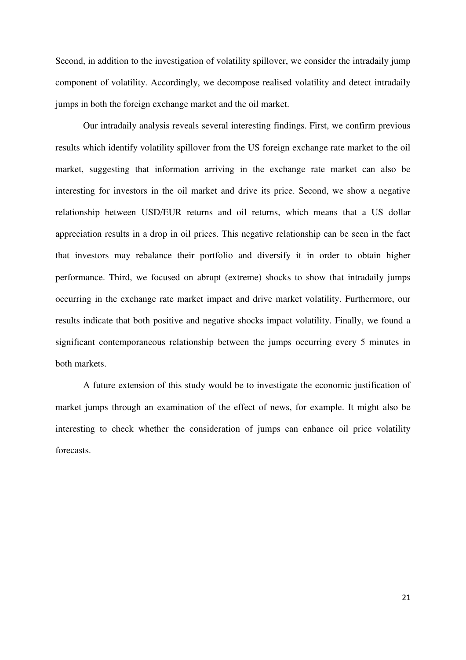Second, in addition to the investigation of volatility spillover, we consider the intradaily jump component of volatility. Accordingly, we decompose realised volatility and detect intradaily jumps in both the foreign exchange market and the oil market.

Our intradaily analysis reveals several interesting findings. First, we confirm previous results which identify volatility spillover from the US foreign exchange rate market to the oil market, suggesting that information arriving in the exchange rate market can also be interesting for investors in the oil market and drive its price. Second, we show a negative relationship between USD/EUR returns and oil returns, which means that a US dollar appreciation results in a drop in oil prices. This negative relationship can be seen in the fact that investors may rebalance their portfolio and diversify it in order to obtain higher performance. Third, we focused on abrupt (extreme) shocks to show that intradaily jumps occurring in the exchange rate market impact and drive market volatility. Furthermore, our results indicate that both positive and negative shocks impact volatility. Finally, we found a significant contemporaneous relationship between the jumps occurring every 5 minutes in both markets.

A future extension of this study would be to investigate the economic justification of market jumps through an examination of the effect of news, for example. It might also be interesting to check whether the consideration of jumps can enhance oil price volatility forecasts.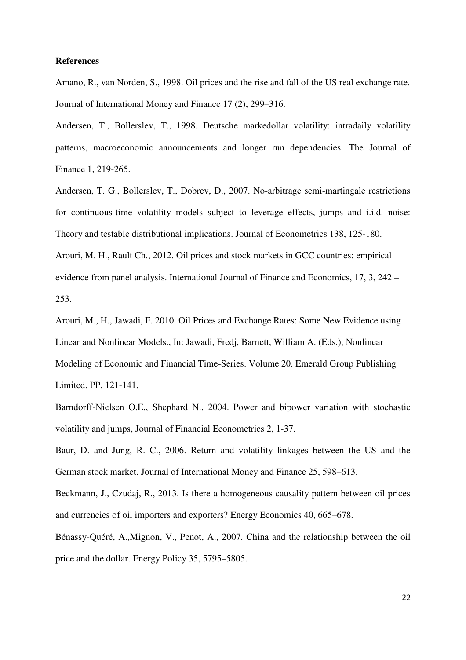#### **References**

Amano, R., van Norden, S., 1998. Oil prices and the rise and fall of the US real exchange rate. Journal of International Money and Finance 17 (2), 299–316.

Andersen, T., Bollerslev, T., 1998. Deutsche markedollar volatility: intradaily volatility patterns, macroeconomic announcements and longer run dependencies. The Journal of Finance 1, 219-265.

Andersen, T. G., Bollerslev, T., Dobrev, D., 2007. No-arbitrage semi-martingale restrictions for continuous-time volatility models subject to leverage effects, jumps and i.i.d. noise: Theory and testable distributional implications. Journal of Econometrics 138, 125-180. Arouri, M. H., Rault Ch., 2012. Oil prices and stock markets in GCC countries: empirical evidence from panel analysis. International Journal of Finance and Economics, 17, 3, 242 – 253.

Arouri, M., H., Jawadi, F. 2010. Oil Prices and Exchange Rates: Some New Evidence using Linear and Nonlinear Models., In: Jawadi, Fredj, Barnett, William A. (Eds.), Nonlinear Modeling of Economic and Financial Time-Series. Volume 20. Emerald Group Publishing Limited. PP. 121-141.

Barndorff-Nielsen O.E., Shephard N., 2004. Power and bipower variation with stochastic volatility and jumps, Journal of Financial Econometrics 2, 1-37.

Baur, D. and Jung, R. C., 2006. Return and volatility linkages between the US and the German stock market. Journal of International Money and Finance 25, 598–613.

Beckmann, J., Czudaj, R., 2013. Is there a homogeneous causality pattern between oil prices and currencies of oil importers and exporters? Energy Economics 40, 665–678.

Bénassy-Quéré, A.,Mignon, V., Penot, A., 2007. China and the relationship between the oil price and the dollar. Energy Policy 35, 5795–5805.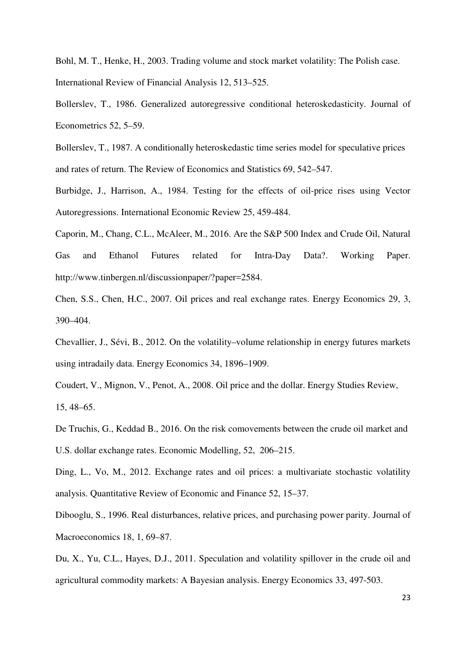Bohl, M. T., Henke, H., 2003. Trading volume and stock market volatility: The Polish case. International Review of Financial Analysis 12, 513–525.

Bollerslev, T., 1986. Generalized autoregressive conditional heteroskedasticity. Journal of Econometrics 52, 5–59.

Bollerslev, T., 1987. A conditionally heteroskedastic time series model for speculative prices and rates of return. The Review of Economics and Statistics 69, 542–547.

Burbidge, J., Harrison, A., 1984. Testing for the effects of oil-price rises using Vector Autoregressions. International Economic Review 25, 459-484.

Caporin, M., Chang, C.L., McAleer, M., 2016. Are the S&P 500 Index and Crude Oil, Natural Gas and Ethanol Futures related for Intra-Day Data?. Working Paper. http://www.tinbergen.nl/discussionpaper/?paper=2584.

Chen, S.S., Chen, H.C., 2007. Oil prices and real exchange rates. Energy Economics 29, 3, 390–404.

Chevallier, J., Sévi, B., 2012. On the volatility–volume relationship in energy futures markets using intradaily data. Energy Economics 34, 1896–1909.

Coudert, V., Mignon, V., Penot, A., 2008. Oil price and the dollar. Energy Studies Review, 15, 48–65.

De Truchis, G., Keddad B., 2016. On the risk comovements between the crude oil market and U.S. dollar exchange rates. Economic Modelling, 52, 206–215.

Ding, L., Vo, M., 2012. Exchange rates and oil prices: a multivariate stochastic volatility analysis. Quantitative Review of Economic and Finance 52, 15–37.

Dibooglu, S., 1996. Real disturbances, relative prices, and purchasing power parity. Journal of Macroeconomics 18, 1, 69–87.

Du, X., Yu, C.L., Hayes, D.J., 2011. Speculation and volatility spillover in the crude oil and agricultural commodity markets: A Bayesian analysis. Energy Economics 33, 497-503.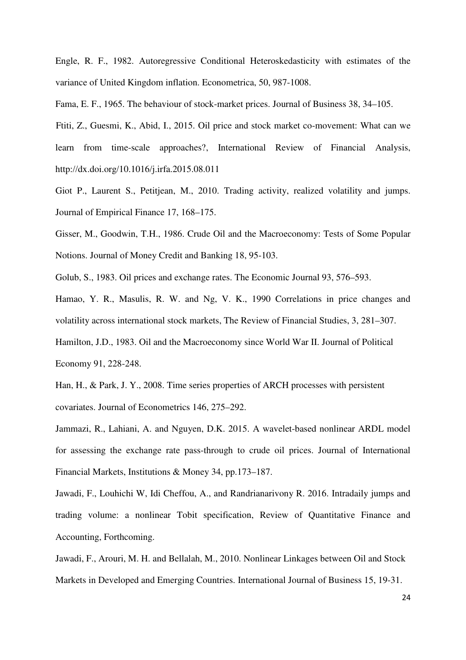Engle, R. F., 1982. Autoregressive Conditional Heteroskedasticity with estimates of the variance of United Kingdom inflation. Econometrica, 50, 987-1008.

Fama, E. F., 1965. The behaviour of stock-market prices. Journal of Business 38, 34–105.

 Ftiti, Z., Guesmi, K., Abid, I., 2015. Oil price and stock market co-movement: What can we learn from time-scale approaches?, International Review of Financial Analysis, http://dx.doi.org/10.1016/j.irfa.2015.08.011

Giot P., Laurent S., Petitjean, M., 2010. Trading activity, realized volatility and jumps. Journal of Empirical Finance 17, 168–175.

Gisser, M., Goodwin, T.H., 1986. Crude Oil and the Macroeconomy: Tests of Some Popular Notions. Journal of Money Credit and Banking 18, 95-103.

Golub, S., 1983. Oil prices and exchange rates. The Economic Journal 93, 576–593.

Hamao, Y. R., Masulis, R. W. and Ng, V. K., 1990 Correlations in price changes and volatility across international stock markets, The Review of Financial Studies, 3, 281–307. Hamilton, J.D., 1983. Oil and the Macroeconomy since World War II. Journal of Political Economy 91, 228-248.

Han, H., & Park, J. Y., 2008. Time series properties of ARCH processes with persistent covariates. Journal of Econometrics 146, 275–292.

Jammazi, R., Lahiani, A. and Nguyen, D.K. 2015. A wavelet-based nonlinear ARDL model for assessing the exchange rate pass-through to crude oil prices. Journal of International Financial Markets, Institutions & Money 34, pp.173–187.

Jawadi, F., Louhichi W, Idi Cheffou, A., and Randrianarivony R. 2016. Intradaily jumps and trading volume: a nonlinear Tobit specification, Review of Quantitative Finance and Accounting, Forthcoming.

Jawadi, F., Arouri, M. H. and Bellalah, M., 2010. Nonlinear Linkages between Oil and Stock Markets in Developed and Emerging Countries. International Journal of Business 15, 19-31.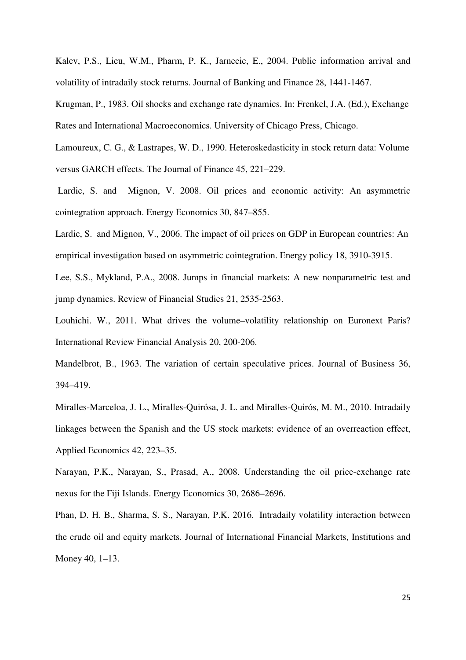Kalev, P.S., Lieu, W.M., Pharm, P. K., Jarnecic, E., 2004. Public information arrival and volatility of intradaily stock returns. Journal of Banking and Finance 28, 1441-1467.

Krugman, P., 1983. Oil shocks and exchange rate dynamics. In: Frenkel, J.A. (Ed.), Exchange Rates and International Macroeconomics. University of Chicago Press, Chicago.

Lamoureux, C. G., & Lastrapes, W. D., 1990. Heteroskedasticity in stock return data: Volume versus GARCH effects. The Journal of Finance 45, 221–229.

 Lardic, S. and Mignon, V. 2008. Oil prices and economic activity: An asymmetric cointegration approach. Energy Economics 30, 847–855.

Lardic, S. and Mignon, V., 2006. The impact of oil prices on GDP in European countries: An empirical investigation based on asymmetric cointegration. Energy policy 18, 3910-3915.

Lee, S.S., Mykland, P.A., 2008. Jumps in financial markets: A new nonparametric test and jump dynamics. Review of Financial Studies 21, 2535-2563.

Louhichi. W., 2011. What drives the volume–volatility relationship on Euronext Paris? International Review Financial Analysis 20, 200-206.

Mandelbrot, B., 1963. The variation of certain speculative prices. Journal of Business 36, 394–419.

Miralles-Marceloa, J. L., Miralles-Quirósa, J. L. and Miralles-Quirós, M. M., 2010. Intradaily linkages between the Spanish and the US stock markets: evidence of an overreaction effect, Applied Economics 42, 223–35.

Narayan, P.K., Narayan, S., Prasad, A., 2008. Understanding the oil price-exchange rate nexus for the Fiji Islands. Energy Economics 30, 2686–2696.

Phan, D. H. B., Sharma, S. S., Narayan, P.K. 2016. Intradaily volatility interaction between the crude oil and equity markets. Journal of International Financial Markets, Institutions and Money 40, 1–13.